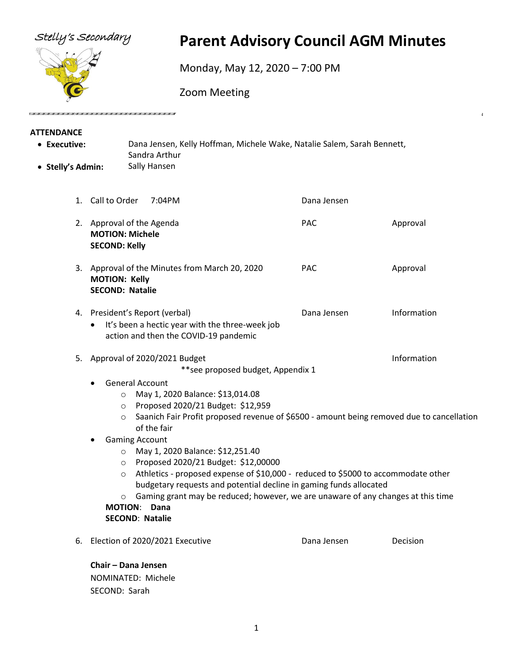

# Stelly's Secondary **Parent Advisory Council AGM Minutes**

Monday, May 12, 2020 – 7:00 PM

Zoom Meeting

# **ATTENDANCE**

- **Executive:** Dana Jensen, Kelly Hoffman, Michele Wake, Natalie Salem, Sarah Bennett, Sandra Arthur
- **Stelly's Admin:** Sally Hansen

- 1. Call to Order 2:04PM Dana Jensen 2. Approval of the Agenda **PAC** Approval **MOTION: Michele SECOND: Kelly** 3. Approval of the Minutes from March 20, 2020 PAC Approval **MOTION: Kelly SECOND: Natalie** 4. President's Report (verbal) and Dana Jensen Information • It's been a hectic year with the three-week job action and then the COVID-19 pandemic 5. Approval of 2020/2021 Budget Information \*\*see proposed budget, Appendix 1 General Account o May 1, 2020 Balance: \$13,014.08 o Proposed 2020/21 Budget: \$12,959 o Saanich Fair Profit proposed revenue of \$6500 - amount being removed due to cancellation of the fair • Gaming Account o May 1, 2020 Balance: \$12,251.40 o Proposed 2020/21 Budget: \$12,00000 o Athletics - proposed expense of \$10,000 - reduced to \$5000 to accommodate other budgetary requests and potential decline in gaming funds allocated  $\circ$  Gaming grant may be reduced; however, we are unaware of any changes at this time
	- **MOTION**: **Dana**

**SECOND**: **Natalie**

6. Election of 2020/2021 Executive Dana Jensen Decision

**Chair – Dana Jensen** NOMINATED: Michele SECOND: Sarah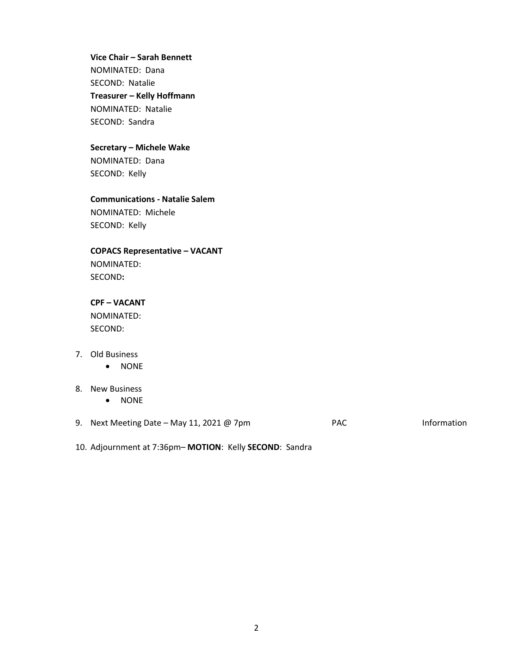**Vice Chair – Sarah Bennett**

NOMINATED: Dana SECOND: Natalie **Treasurer – Kelly Hoffmann**  NOMINATED: Natalie SECOND: Sandra

# **Secretary – Michele Wake**

NOMINATED: Dana SECOND: Kelly

# **Communications - Natalie Salem**

NOMINATED: Michele SECOND: Kelly

### **COPACS Representative – VACANT**

NOMINATED: SECOND**:** 

# **CPF – VACANT**

NOMINATED: SECOND:

- 7. Old Business
	- NONE
- 8. New Business
	- NONE
- 9. Next Meeting Date May 11, 2021 @ 7pm PAC PAC Information

10. Adjournment at 7:36pm– **MOTION**: Kelly **SECOND**: Sandra